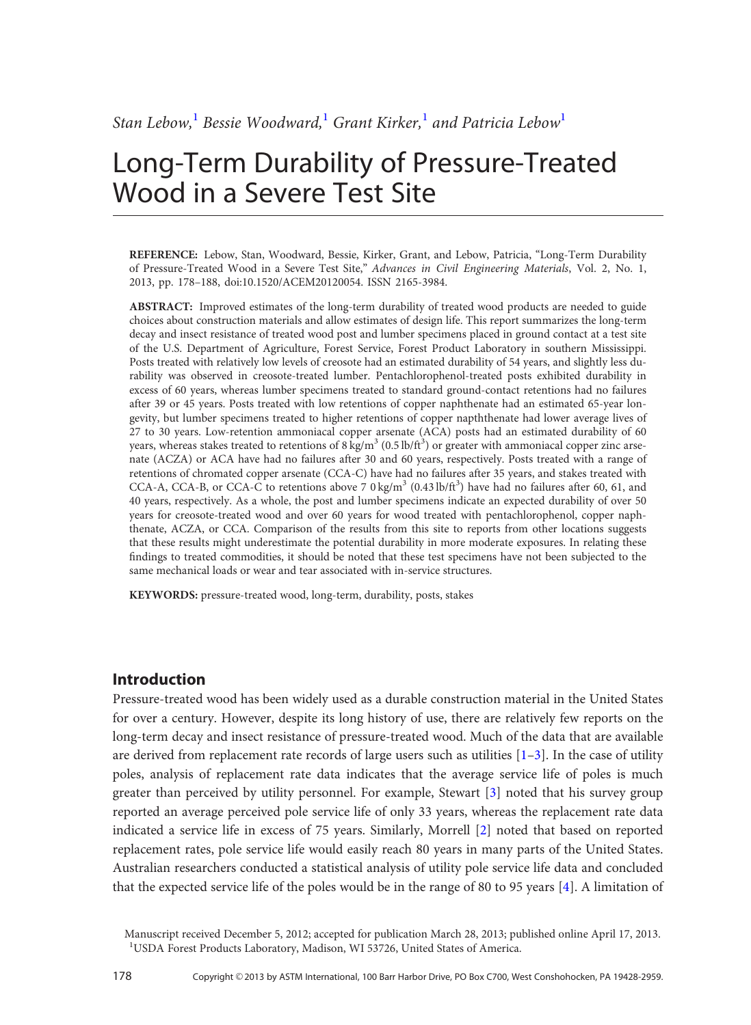# Long-Term Durability of Pressure-Treated Wood in a Severe Test Site

REFERENCE: Lebow, Stan, Woodward, Bessie, Kirker, Grant, and Lebow, Patricia, "Long-Term Durability of Pressure-Treated Wood in a Severe Test Site," Advances in Civil Engineering Materials, Vol. 2, No. 1, 2013, pp. 178–188, doi:10.1520/ACEM20120054. ISSN 2165-3984.

ABSTRACT: Improved estimates of the long-term durability of treated wood products are needed to guide choices about construction materials and allow estimates of design life. This report summarizes the long-term decay and insect resistance of treated wood post and lumber specimens placed in ground contact at a test site of the U.S. Department of Agriculture, Forest Service, Forest Product Laboratory in southern Mississippi. Posts treated with relatively low levels of creosote had an estimated durability of 54 years, and slightly less durability was observed in creosote-treated lumber. Pentachlorophenol-treated posts exhibited durability in excess of 60 years, whereas lumber specimens treated to standard ground-contact retentions had no failures after 39 or 45 years. Posts treated with low retentions of copper naphthenate had an estimated 65-year longevity, but lumber specimens treated to higher retentions of copper napththenate had lower average lives of 27 to 30 years. Low-retention ammoniacal copper arsenate (ACA) posts had an estimated durability of 60 years, whereas stakes treated to retentions of  $8 \text{ kg/m}^3$  (0.5 lb/ft<sup>3</sup>) or greater with ammoniacal copper zinc arsenate (ACZA) or ACA have had no failures after 30 and 60 years, respectively. Posts treated with a range of retentions of chromated copper arsenate (CCA-C) have had no failures after 35 years, and stakes treated with CCA-A, CCA-B, or CCA-C to retentions above 7 0 kg/m<sup>3</sup> (0.43 lb/ft<sup>3</sup>) have had no failures after 60, 61, and 40 years, respectively. As a whole, the post and lumber specimens indicate an expected durability of over 50 years for creosote-treated wood and over 60 years for wood treated with pentachlorophenol, copper naphthenate, ACZA, or CCA. Comparison of the results from this site to reports from other locations suggests that these results might underestimate the potential durability in more moderate exposures. In relating these findings to treated commodities, it should be noted that these test specimens have not been subjected to the same mechanical loads or wear and tear associated with in-service structures.

KEYWORDS: pressure-treated wood, long-term, durability, posts, stakes

# Introduction

Pressure-treated wood has been widely used as a durable construction material in the United States for over a century. However, despite its long history of use, there are relatively few reports on the long-term decay and insect resistance of pressure-treated wood. Much of the data that are available are derived from replacement rate records of large users such as utilities  $[1-3]$  $[1-3]$ . In the case of utility poles, analysis of replacement rate data indicates that the average service life of poles is much greater than perceived by utility personnel. For example, Stewart [\[3\]](#page-9-0) noted that his survey group reported an average perceived pole service life of only 33 years, whereas the replacement rate data indicated a service life in excess of 75 years. Similarly, Morrell [\[2](#page-9-0)] noted that based on reported replacement rates, pole service life would easily reach 80 years in many parts of the United States. Australian researchers conducted a statistical analysis of utility pole service life data and concluded that the expected service life of the poles would be in the range of 80 to 95 years [[4\]](#page-9-0). A limitation of

Manuscript received December 5, 2012; accepted for publication March 28, 2013; published online April 17, 2013. <sup>1</sup>USDA Forest Products Laboratory, Madison, WI 53726, United States of America.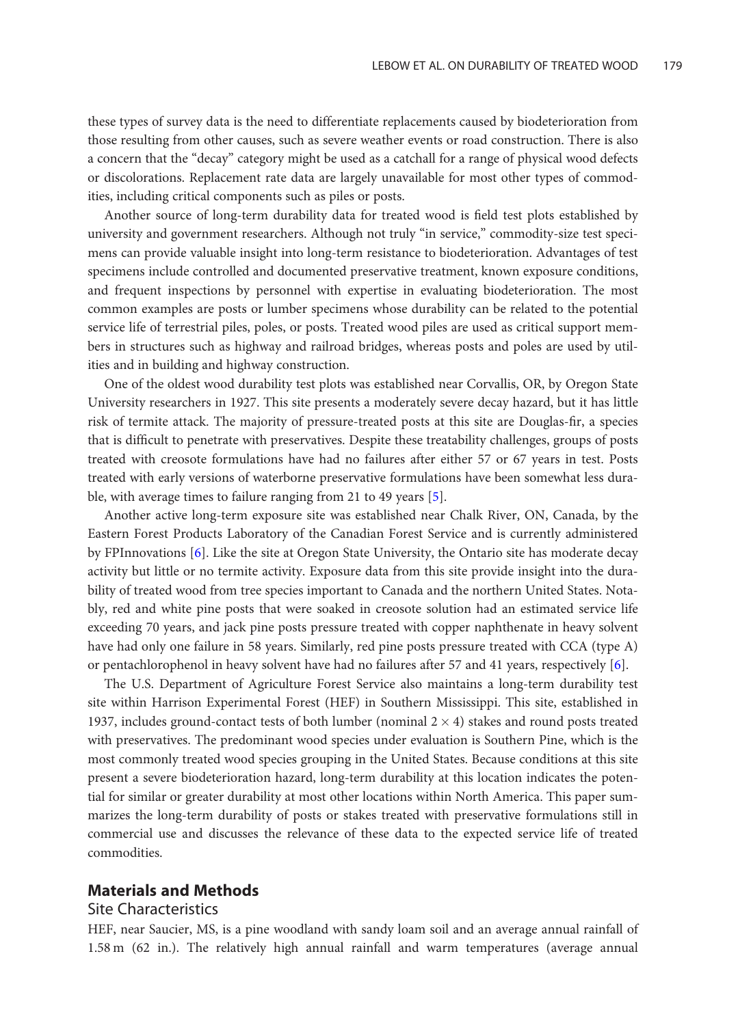these types of survey data is the need to differentiate replacements caused by biodeterioration from those resulting from other causes, such as severe weather events or road construction. There is also a concern that the "decay" category might be used as a catchall for a range of physical wood defects or discolorations. Replacement rate data are largely unavailable for most other types of commodities, including critical components such as piles or posts.

Another source of long-term durability data for treated wood is field test plots established by university and government researchers. Although not truly "in service," commodity-size test specimens can provide valuable insight into long-term resistance to biodeterioration. Advantages of test specimens include controlled and documented preservative treatment, known exposure conditions, and frequent inspections by personnel with expertise in evaluating biodeterioration. The most common examples are posts or lumber specimens whose durability can be related to the potential service life of terrestrial piles, poles, or posts. Treated wood piles are used as critical support members in structures such as highway and railroad bridges, whereas posts and poles are used by utilities and in building and highway construction.

One of the oldest wood durability test plots was established near Corvallis, OR, by Oregon State University researchers in 1927. This site presents a moderately severe decay hazard, but it has little risk of termite attack. The majority of pressure-treated posts at this site are Douglas-fir, a species that is difficult to penetrate with preservatives. Despite these treatability challenges, groups of posts treated with creosote formulations have had no failures after either 57 or 67 years in test. Posts treated with early versions of waterborne preservative formulations have been somewhat less durable, with average times to failure ranging from 21 to 49 years [\[5\]](#page-9-0).

Another active long-term exposure site was established near Chalk River, ON, Canada, by the Eastern Forest Products Laboratory of the Canadian Forest Service and is currently administered by FPInnovations [[6\]](#page-9-0). Like the site at Oregon State University, the Ontario site has moderate decay activity but little or no termite activity. Exposure data from this site provide insight into the durability of treated wood from tree species important to Canada and the northern United States. Notably, red and white pine posts that were soaked in creosote solution had an estimated service life exceeding 70 years, and jack pine posts pressure treated with copper naphthenate in heavy solvent have had only one failure in 58 years. Similarly, red pine posts pressure treated with CCA (type A) or pentachlorophenol in heavy solvent have had no failures after 57 and 41 years, respectively [[6\]](#page-9-0).

The U.S. Department of Agriculture Forest Service also maintains a long-term durability test site within Harrison Experimental Forest (HEF) in Southern Mississippi. This site, established in 1937, includes ground-contact tests of both lumber (nominal  $2 \times 4$ ) stakes and round posts treated with preservatives. The predominant wood species under evaluation is Southern Pine, which is the most commonly treated wood species grouping in the United States. Because conditions at this site present a severe biodeterioration hazard, long-term durability at this location indicates the potential for similar or greater durability at most other locations within North America. This paper summarizes the long-term durability of posts or stakes treated with preservative formulations still in commercial use and discusses the relevance of these data to the expected service life of treated commodities.

# Materials and Methods

#### Site Characteristics

HEF, near Saucier, MS, is a pine woodland with sandy loam soil and an average annual rainfall of 1.58 m (62 in.). The relatively high annual rainfall and warm temperatures (average annual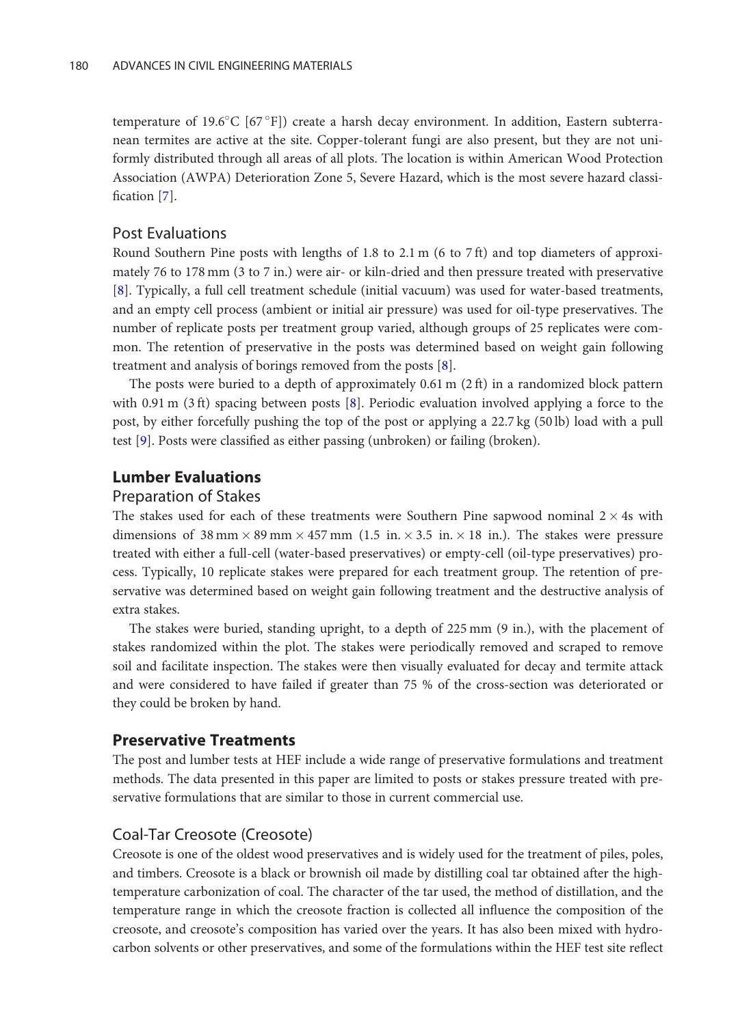temperature of 19.6°C [67°F]) create a harsh decay environment. In addition, Eastern subterranean termites are active at the site. Copper-tolerant fungi are also present, but they are not uniformly distributed through all areas of all plots. The location is within American Wood Protection Association (AWPA) Deterioration Zone 5, Severe Hazard, which is the most severe hazard classification [[7\]](#page-9-0).

## Post Evaluations

Round Southern Pine posts with lengths of 1.8 to 2.1 m (6 to 7 ft) and top diameters of approximately 76 to 178 mm (3 to 7 in.) were air- or kiln-dried and then pressure treated with preservative [\[8](#page-9-0)]. Typically, a full cell treatment schedule (initial vacuum) was used for water-based treatments, and an empty cell process (ambient or initial air pressure) was used for oil-type preservatives. The number of replicate posts per treatment group varied, although groups of 25 replicates were common. The retention of preservative in the posts was determined based on weight gain following treatment and analysis of borings removed from the posts [[8](#page-9-0)].

The posts were buried to a depth of approximately  $0.61$  m  $(2 \text{ ft})$  in a randomized block pattern with 0.91 m (3 ft) spacing between posts [[8](#page-9-0)]. Periodic evaluation involved applying a force to the post, by either forcefully pushing the top of the post or applying a 22.7 kg (50 lb) load with a pull test [[9\]](#page-9-0). Posts were classified as either passing (unbroken) or failing (broken).

# Lumber Evaluations

#### Preparation of Stakes

The stakes used for each of these treatments were Southern Pine sapwood nominal  $2 \times 4$ s with dimensions of  $38 \text{ mm} \times 89 \text{ mm} \times 457 \text{ mm}$  (1.5 in.  $\times 3.5$  in.  $\times 18$  in.). The stakes were pressure treated with either a full-cell (water-based preservatives) or empty-cell (oil-type preservatives) process. Typically, 10 replicate stakes were prepared for each treatment group. The retention of preservative was determined based on weight gain following treatment and the destructive analysis of extra stakes.

The stakes were buried, standing upright, to a depth of 225 mm (9 in.), with the placement of stakes randomized within the plot. The stakes were periodically removed and scraped to remove soil and facilitate inspection. The stakes were then visually evaluated for decay and termite attack and were considered to have failed if greater than 75 % of the cross-section was deteriorated or they could be broken by hand.

## Preservative Treatments

The post and lumber tests at HEF include a wide range of preservative formulations and treatment methods. The data presented in this paper are limited to posts or stakes pressure treated with preservative formulations that are similar to those in current commercial use.

### Coal-Tar Creosote (Creosote)

Creosote is one of the oldest wood preservatives and is widely used for the treatment of piles, poles, and timbers. Creosote is a black or brownish oil made by distilling coal tar obtained after the hightemperature carbonization of coal. The character of the tar used, the method of distillation, and the temperature range in which the creosote fraction is collected all influence the composition of the creosote, and creosote's composition has varied over the years. It has also been mixed with hydrocarbon solvents or other preservatives, and some of the formulations within the HEF test site reflect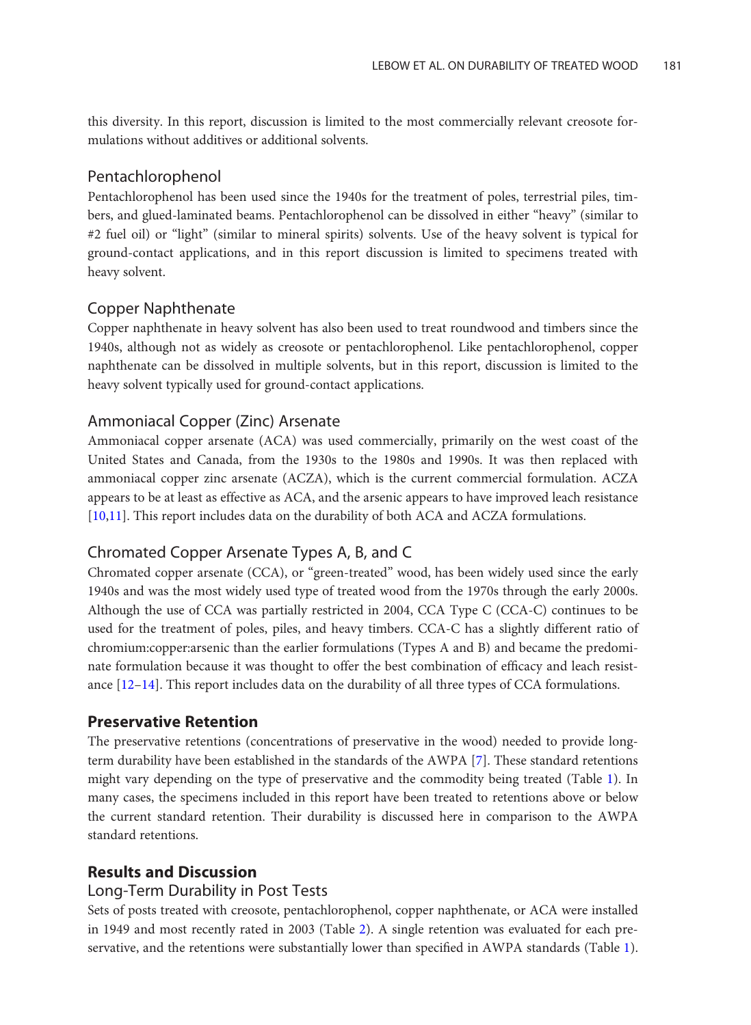this diversity. In this report, discussion is limited to the most commercially relevant creosote formulations without additives or additional solvents.

# Pentachlorophenol

Pentachlorophenol has been used since the 1940s for the treatment of poles, terrestrial piles, timbers, and glued-laminated beams. Pentachlorophenol can be dissolved in either "heavy" (similar to #2 fuel oil) or "light" (similar to mineral spirits) solvents. Use of the heavy solvent is typical for ground-contact applications, and in this report discussion is limited to specimens treated with heavy solvent.

# Copper Naphthenate

Copper naphthenate in heavy solvent has also been used to treat roundwood and timbers since the 1940s, although not as widely as creosote or pentachlorophenol. Like pentachlorophenol, copper naphthenate can be dissolved in multiple solvents, but in this report, discussion is limited to the heavy solvent typically used for ground-contact applications.

# Ammoniacal Copper (Zinc) Arsenate

Ammoniacal copper arsenate (ACA) was used commercially, primarily on the west coast of the United States and Canada, from the 1930s to the 1980s and 1990s. It was then replaced with ammoniacal copper zinc arsenate (ACZA), which is the current commercial formulation. ACZA appears to be at least as effective as ACA, and the arsenic appears to have improved leach resistance [\[10,11\]](#page-9-0). This report includes data on the durability of both ACA and ACZA formulations.

# Chromated Copper Arsenate Types A, B, and C

Chromated copper arsenate (CCA), or "green-treated" wood, has been widely used since the early 1940s and was the most widely used type of treated wood from the 1970s through the early 2000s. Although the use of CCA was partially restricted in 2004, CCA Type C (CCA-C) continues to be used for the treatment of poles, piles, and heavy timbers. CCA-C has a slightly different ratio of chromium:copper:arsenic than the earlier formulations (Types A and B) and became the predominate formulation because it was thought to offer the best combination of efficacy and leach resistance [\[12–14](#page-9-0)]. This report includes data on the durability of all three types of CCA formulations.

# Preservative Retention

The preservative retentions (concentrations of preservative in the wood) needed to provide longterm durability have been established in the standards of the AWPA [\[7](#page-9-0)]. These standard retentions might vary depending on the type of preservative and the commodity being treated (Table [1](#page-4-0)). In many cases, the specimens included in this report have been treated to retentions above or below the current standard retention. Their durability is discussed here in comparison to the AWPA standard retentions.

# Results and Discussion

# Long-Term Durability in Post Tests

Sets of posts treated with creosote, pentachlorophenol, copper naphthenate, or ACA were installed in 1949 and most recently rated in 2003 (Table [2](#page-4-0)). A single retention was evaluated for each preservative, and the retentions were substantially lower than specified in AWPA standards (Table [1](#page-4-0)).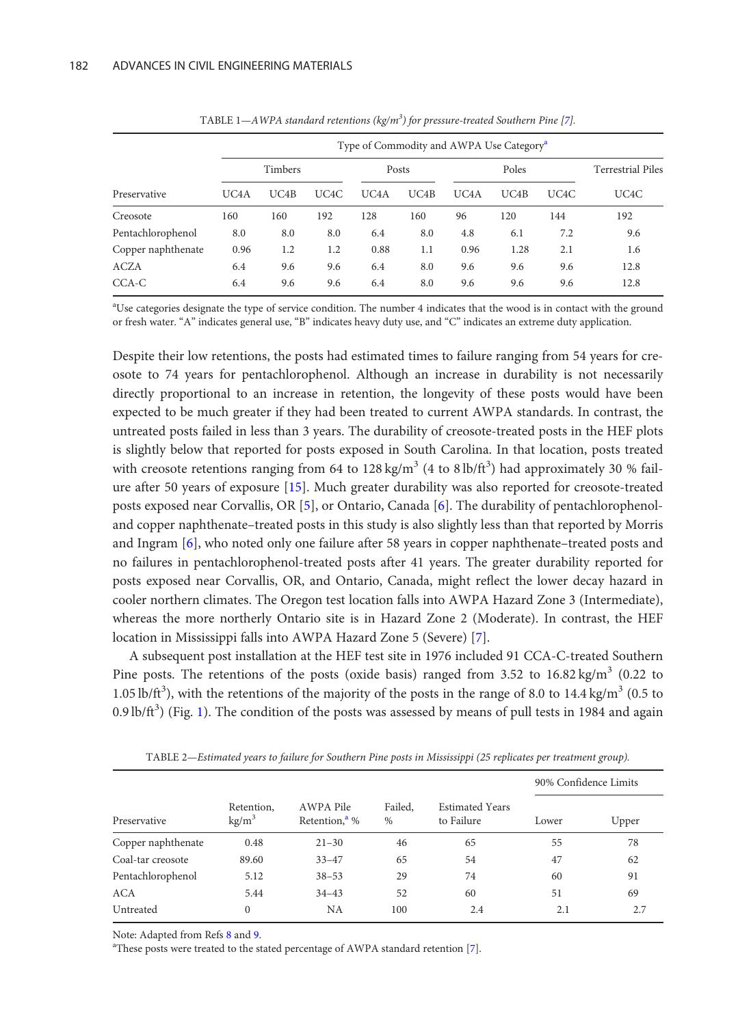<span id="page-4-0"></span>

|                    | Type of Commodity and AWPA Use Category <sup>a</sup> |      |      |                   |      |                   |                   |      |                          |  |  |
|--------------------|------------------------------------------------------|------|------|-------------------|------|-------------------|-------------------|------|--------------------------|--|--|
|                    | Timbers                                              |      |      | Posts             |      | Poles             |                   |      | <b>Terrestrial Piles</b> |  |  |
| Preservative       | UC <sub>4</sub> A                                    | UC4B | UC4C | UC <sub>4</sub> A | UCAB | UC <sub>4</sub> A | UC <sub>4</sub> B | UC4C | UC4C                     |  |  |
| Creosote           | 160                                                  | 160  | 192  | 128               | 160  | 96                | 120               | 144  | 192                      |  |  |
| Pentachlorophenol  | 8.0                                                  | 8.0  | 8.0  | 6.4               | 8.0  | 4.8               | 6.1               | 7.2  | 9.6                      |  |  |
| Copper naphthenate | 0.96                                                 | 1.2  | 1.2  | 0.88              | 1.1  | 0.96              | 1.28              | 2.1  | 1.6                      |  |  |
| <b>ACZA</b>        | 6.4                                                  | 9.6  | 9.6  | 6.4               | 8.0  | 9.6               | 9.6               | 9.6  | 12.8                     |  |  |
| CCA-C              | 6.4                                                  | 9.6  | 9.6  | 6.4               | 8.0  | 9.6               | 9.6               | 9.6  | 12.8                     |  |  |

TABLE 1—AWPA standard retentions ( $kg/m<sup>3</sup>$ ) for pressure-treated Southern Pine [[7\]](#page-9-0).

<sup>a</sup>Use categories designate the type of service condition. The number 4 indicates that the wood is in contact with the ground or fresh water. "A" indicates general use, "B" indicates heavy duty use, and "C" indicates an extreme duty application.

Despite their low retentions, the posts had estimated times to failure ranging from 54 years for creosote to 74 years for pentachlorophenol. Although an increase in durability is not necessarily directly proportional to an increase in retention, the longevity of these posts would have been expected to be much greater if they had been treated to current AWPA standards. In contrast, the untreated posts failed in less than 3 years. The durability of creosote-treated posts in the HEF plots is slightly below that reported for posts exposed in South Carolina. In that location, posts treated with creosote retentions ranging from 64 to  $128 \text{ kg/m}^3$  (4 to  $8 \text{ lb/ft}^3$ ) had approximately 30 % failure after 50 years of exposure [\[15](#page-9-0)]. Much greater durability was also reported for creosote-treated posts exposed near Corvallis, OR [\[5](#page-9-0)], or Ontario, Canada [\[6\]](#page-9-0). The durability of pentachlorophenoland copper naphthenate–treated posts in this study is also slightly less than that reported by Morris and Ingram [\[6\]](#page-9-0), who noted only one failure after 58 years in copper naphthenate–treated posts and no failures in pentachlorophenol-treated posts after 41 years. The greater durability reported for posts exposed near Corvallis, OR, and Ontario, Canada, might reflect the lower decay hazard in cooler northern climates. The Oregon test location falls into AWPA Hazard Zone 3 (Intermediate), whereas the more northerly Ontario site is in Hazard Zone 2 (Moderate). In contrast, the HEF location in Mississippi falls into AWPA Hazard Zone 5 (Severe) [\[7\]](#page-9-0).

A subsequent post installation at the HEF test site in 1976 included 91 CCA-C-treated Southern Pine posts. The retentions of the posts (oxide basis) ranged from 3.52 to  $16.82 \text{ kg/m}^3$  (0.22 to 1.05 lb/ft<sup>3</sup>), with the retentions of the majority of the posts in the range of 8.0 to 14.4 kg/m<sup>3</sup> (0.5 to 0.9 lb/ft<sup>3</sup>) (Fig. [1](#page-5-0)). The condition of the posts was assessed by means of pull tests in 1984 and again

| Preservative       |                                 |                                        |                 |                                      | 90% Confidence Limits |       |  |
|--------------------|---------------------------------|----------------------------------------|-----------------|--------------------------------------|-----------------------|-------|--|
|                    | Retention,<br>kg/m <sup>3</sup> | AWPA Pile<br>Retention, <sup>a</sup> % | Failed,<br>$\%$ | <b>Estimated Years</b><br>to Failure | Lower                 | Upper |  |
| Copper naphthenate | 0.48                            | $21 - 30$                              | 46              | 65                                   | 55                    | 78    |  |
| Coal-tar creosote  | 89.60                           | $33 - 47$                              | 65              | 54                                   | 47                    | 62    |  |
| Pentachlorophenol  | 5.12                            | $38 - 53$                              | 29              | 74                                   | 60                    | 91    |  |
| ACA                | 5.44                            | $34 - 43$                              | 52              | 60                                   | 51                    | 69    |  |
| Untreated          | $\mathbf{0}$                    | NΑ                                     | 100             | 2.4                                  | 2.1                   | 2.7   |  |

TABLE 2—Estimated years to failure for Southern Pine posts in Mississippi (25 replicates per treatment group).

Note: Adapted from Refs [8](#page-9-0) and [9](#page-9-0).

<sup>a</sup>These posts were treated to the stated percentage of AWPA standard retention [\[7\]](#page-9-0).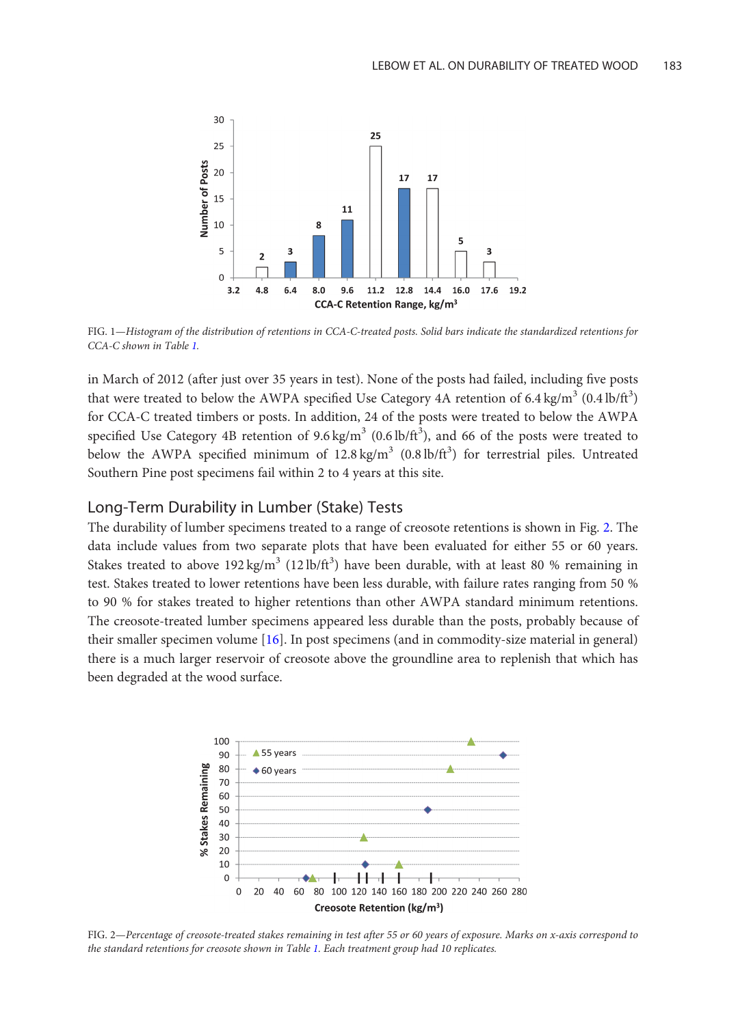<span id="page-5-0"></span>

FIG. 1—Histogram of the distribution of retentions in CCA-C-treated posts. Solid bars indicate the standardized retentions for CCA-C shown in Table [1.](#page-4-0)

in March of 2012 (after just over 35 years in test). None of the posts had failed, including five posts that were treated to below the AWPA specified Use Category 4A retention of 6.4 kg/m<sup>3</sup> (0.4 lb/ft<sup>3</sup>) for CCA-C treated timbers or posts. In addition, 24 of the posts were treated to below the AWPA specified Use Category 4B retention of  $9.6 \text{ kg/m}^3$  (0.6 lb/ft<sup>3</sup>), and 66 of the posts were treated to below the AWPA specified minimum of  $12.8 \text{ kg/m}^3$  (0.8 lb/ft<sup>3</sup>) for terrestrial piles. Untreated Southern Pine post specimens fail within 2 to 4 years at this site.

# Long-Term Durability in Lumber (Stake) Tests

The durability of lumber specimens treated to a range of creosote retentions is shown in Fig. 2. The data include values from two separate plots that have been evaluated for either 55 or 60 years. Stakes treated to above  $192 \text{ kg/m}^3$  ( $12 \text{ lb/ft}^3$ ) have been durable, with at least 80 % remaining in test. Stakes treated to lower retentions have been less durable, with failure rates ranging from 50 % to 90 % for stakes treated to higher retentions than other AWPA standard minimum retentions. The creosote-treated lumber specimens appeared less durable than the posts, probably because of their smaller specimen volume [\[16\]](#page-10-0). In post specimens (and in commodity-size material in general) there is a much larger reservoir of creosote above the groundline area to replenish that which has been degraded at the wood surface.



FIG. 2—Percentage of creosote-treated stakes remaining in test after 55 or 60 years of exposure. Marks on x-axis correspond to the standard retentions for creosote shown in Table [1.](#page-4-0) Each treatment group had 10 replicates.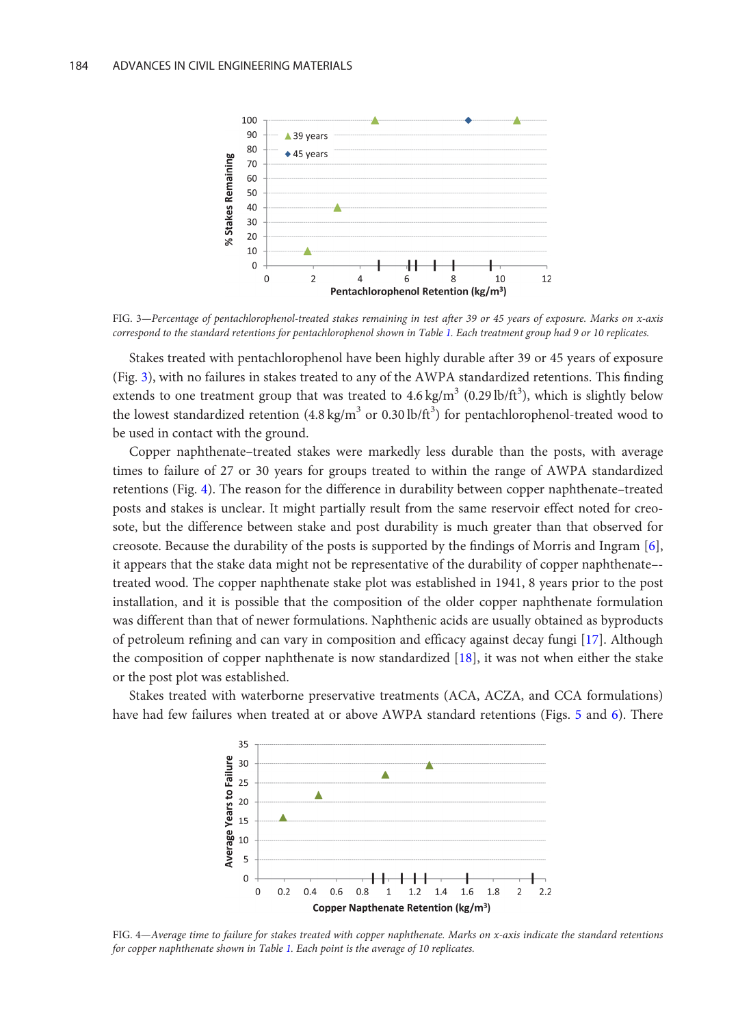

FIG. 3—Percentage of pentachlorophenol-treated stakes remaining in test after 39 or 45 years of exposure. Marks on x-axis correspond to the standard retentions for pentachlorophenol shown in Table [1](#page-4-0). Each treatment group had 9 or 10 replicates.

Stakes treated with pentachlorophenol have been highly durable after 39 or 45 years of exposure (Fig. 3), with no failures in stakes treated to any of the AWPA standardized retentions. This finding extends to one treatment group that was treated to  $4.6 \text{ kg/m}^3$  (0.29 lb/ft<sup>3</sup>), which is slightly below the lowest standardized retention (4.8 kg/m<sup>3</sup> or 0.30 lb/ft<sup>3</sup>) for pentachlorophenol-treated wood to be used in contact with the ground.

Copper naphthenate–treated stakes were markedly less durable than the posts, with average times to failure of 27 or 30 years for groups treated to within the range of AWPA standardized retentions (Fig. 4). The reason for the difference in durability between copper naphthenate–treated posts and stakes is unclear. It might partially result from the same reservoir effect noted for creosote, but the difference between stake and post durability is much greater than that observed for creosote. Because the durability of the posts is supported by the findings of Morris and Ingram [[6](#page-9-0)], it appears that the stake data might not be representative of the durability of copper naphthenate– treated wood. The copper naphthenate stake plot was established in 1941, 8 years prior to the post installation, and it is possible that the composition of the older copper naphthenate formulation was different than that of newer formulations. Naphthenic acids are usually obtained as byproducts of petroleum refining and can vary in composition and efficacy against decay fungi [\[17\]](#page-10-0). Although the composition of copper naphthenate is now standardized [\[18\]](#page-10-0), it was not when either the stake or the post plot was established.

Stakes treated with waterborne preservative treatments (ACA, ACZA, and CCA formulations) have had few failures when treated at or above AWPA standard retentions (Figs. [5](#page-7-0) and [6\)](#page-7-0). There



FIG. 4—Average time to failure for stakes treated with copper naphthenate. Marks on x-axis indicate the standard retentions for copper naphthenate shown in Table [1](#page-4-0). Each point is the average of 10 replicates.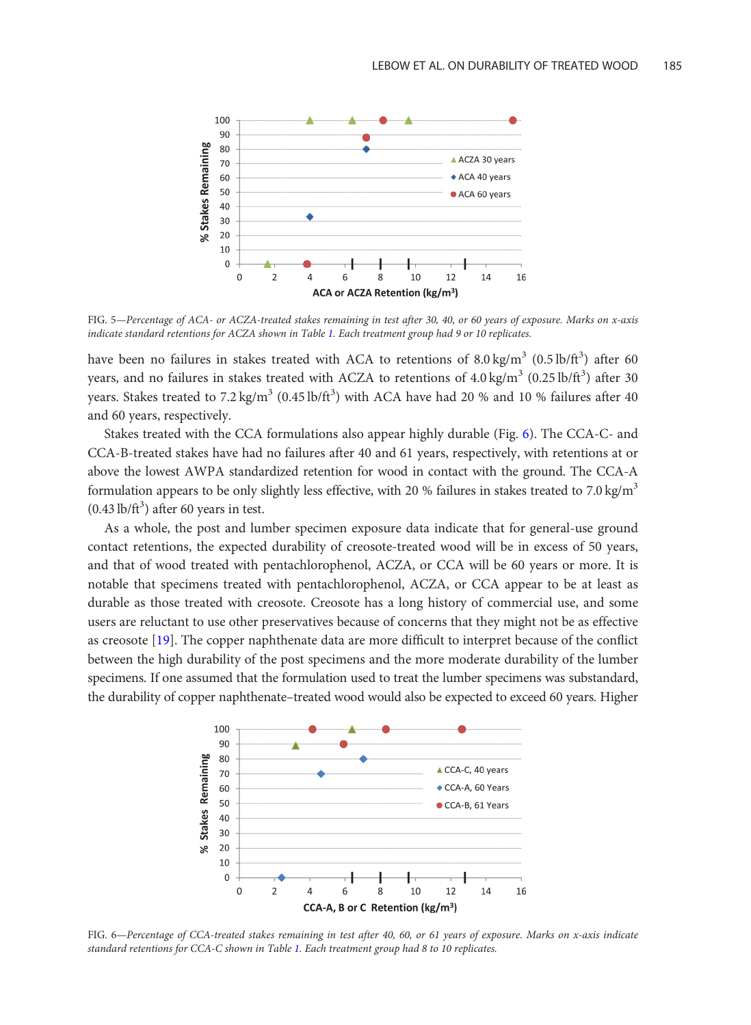<span id="page-7-0"></span>

FIG. 5—Percentage of ACA- or ACZA-treated stakes remaining in test after 30, 40, or 60 years of exposure. Marks on x-axis indicate standard retentions for ACZA shown in Table [1.](#page-4-0) Each treatment group had 9 or 10 replicates.

have been no failures in stakes treated with ACA to retentions of  $8.0 \text{ kg/m}^3$   $(0.5 \text{ lb/ft}^3)$  after 60 years, and no failures in stakes treated with ACZA to retentions of  $4.0\,\mathrm{kg/m}^3$   $(0.25\,\mathrm{lb/ft}^3)$  after 30 years. Stakes treated to 7.2 kg/m<sup>3</sup> (0.45 lb/ft<sup>3</sup>) with ACA have had 20 % and 10 % failures after 40 and 60 years, respectively.

Stakes treated with the CCA formulations also appear highly durable (Fig. 6). The CCA-C- and CCA-B-treated stakes have had no failures after 40 and 61 years, respectively, with retentions at or above the lowest AWPA standardized retention for wood in contact with the ground. The CCA-A formulation appears to be only slightly less effective, with 20 % failures in stakes treated to 7.0 kg/m<sup>3</sup>  $(0.43 \text{ lb/ft}^3)$  after 60 years in test.

As a whole, the post and lumber specimen exposure data indicate that for general-use ground contact retentions, the expected durability of creosote-treated wood will be in excess of 50 years, and that of wood treated with pentachlorophenol, ACZA, or CCA will be 60 years or more. It is notable that specimens treated with pentachlorophenol, ACZA, or CCA appear to be at least as durable as those treated with creosote. Creosote has a long history of commercial use, and some users are reluctant to use other preservatives because of concerns that they might not be as effective as creosote [\[19](#page-10-0)]. The copper naphthenate data are more difficult to interpret because of the conflict between the high durability of the post specimens and the more moderate durability of the lumber specimens. If one assumed that the formulation used to treat the lumber specimens was substandard, the durability of copper naphthenate–treated wood would also be expected to exceed 60 years. Higher



FIG. 6—Percentage of CCA-treated stakes remaining in test after 40, 60, or 61 years of exposure. Marks on x-axis indicate standard retentions for CCA-C shown in Table [1](#page-4-0). Each treatment group had 8 to 10 replicates.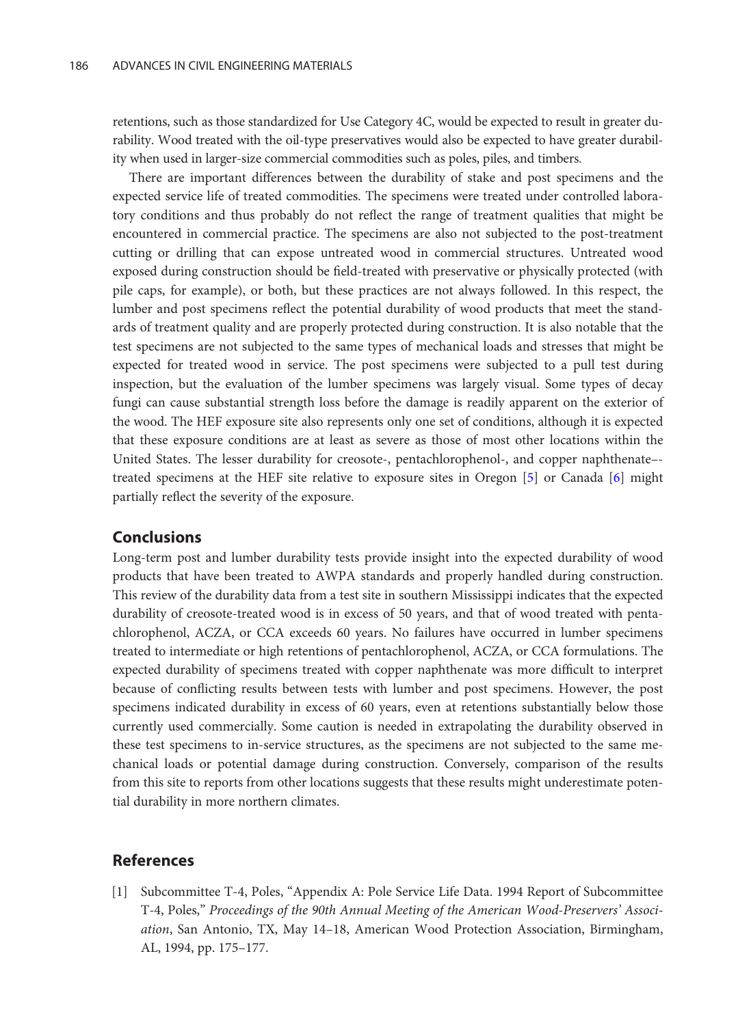<span id="page-8-0"></span>retentions, such as those standardized for Use Category 4C, would be expected to result in greater durability. Wood treated with the oil-type preservatives would also be expected to have greater durability when used in larger-size commercial commodities such as poles, piles, and timbers.

There are important differences between the durability of stake and post specimens and the expected service life of treated commodities. The specimens were treated under controlled laboratory conditions and thus probably do not reflect the range of treatment qualities that might be encountered in commercial practice. The specimens are also not subjected to the post-treatment cutting or drilling that can expose untreated wood in commercial structures. Untreated wood exposed during construction should be field-treated with preservative or physically protected (with pile caps, for example), or both, but these practices are not always followed. In this respect, the lumber and post specimens reflect the potential durability of wood products that meet the standards of treatment quality and are properly protected during construction. It is also notable that the test specimens are not subjected to the same types of mechanical loads and stresses that might be expected for treated wood in service. The post specimens were subjected to a pull test during inspection, but the evaluation of the lumber specimens was largely visual. Some types of decay fungi can cause substantial strength loss before the damage is readily apparent on the exterior of the wood. The HEF exposure site also represents only one set of conditions, although it is expected that these exposure conditions are at least as severe as those of most other locations within the United States. The lesser durability for creosote-, pentachlorophenol-, and copper naphthenate– treated specimens at the HEF site relative to exposure sites in Oregon [\[5\]](#page-9-0) or Canada [\[6](#page-9-0)] might partially reflect the severity of the exposure.

## **Conclusions**

Long-term post and lumber durability tests provide insight into the expected durability of wood products that have been treated to AWPA standards and properly handled during construction. This review of the durability data from a test site in southern Mississippi indicates that the expected durability of creosote-treated wood is in excess of 50 years, and that of wood treated with pentachlorophenol, ACZA, or CCA exceeds 60 years. No failures have occurred in lumber specimens treated to intermediate or high retentions of pentachlorophenol, ACZA, or CCA formulations. The expected durability of specimens treated with copper naphthenate was more difficult to interpret because of conflicting results between tests with lumber and post specimens. However, the post specimens indicated durability in excess of 60 years, even at retentions substantially below those currently used commercially. Some caution is needed in extrapolating the durability observed in these test specimens to in-service structures, as the specimens are not subjected to the same mechanical loads or potential damage during construction. Conversely, comparison of the results from this site to reports from other locations suggests that these results might underestimate potential durability in more northern climates.

## References

[1] Subcommittee T-4, Poles, "Appendix A: Pole Service Life Data. 1994 Report of Subcommittee T-4, Poles," Proceedings of the 90th Annual Meeting of the American Wood-Preservers' Association, San Antonio, TX, May 14–18, American Wood Protection Association, Birmingham, AL, 1994, pp. 175–177.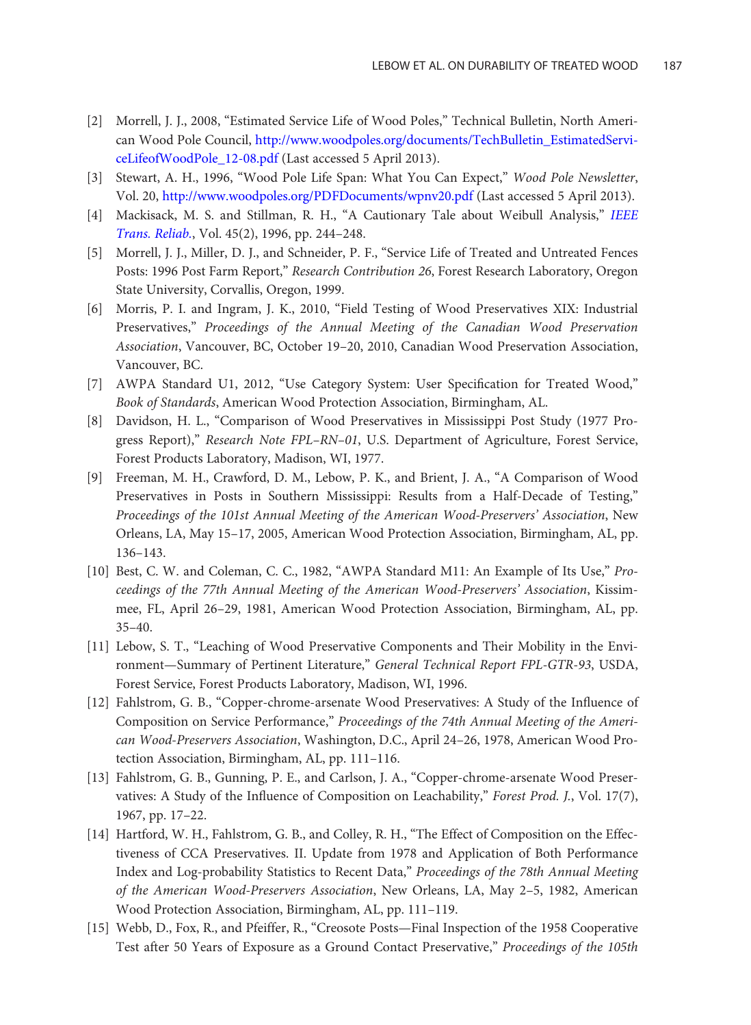- <span id="page-9-0"></span>[2] Morrell, J. J., 2008, "Estimated Service Life of Wood Poles," Technical Bulletin, North American Wood Pole Council, [http://www.woodpoles.org/documents/TechBulletin\\_EstimatedServi](http://www.woodpoles.org/documents/TechBulletin_EstimatedServiceLifeofWoodPole_12-08.pdf)[ceLifeofWoodPole\\_12-08.pdf](http://www.woodpoles.org/documents/TechBulletin_EstimatedServiceLifeofWoodPole_12-08.pdf) (Last accessed 5 April 2013).
- [3] Stewart, A. H., 1996, "Wood Pole Life Span: What You Can Expect," Wood Pole Newsletter, Vol. 20, <http://www.woodpoles.org/PDFDocuments/wpnv20.pdf> (Last accessed 5 April 2013).
- [4] Mackisack, M. S. and Stillman, R. H., "A Cautionary Tale about Weibull Analysis," [IEEE](http://dx.doi.org/10.1109/24.510809) [Trans. Reliab.](http://dx.doi.org/10.1109/24.510809), Vol. 45(2), 1996, pp. 244–248.
- [5] Morrell, J. J., Miller, D. J., and Schneider, P. F., "Service Life of Treated and Untreated Fences Posts: 1996 Post Farm Report," Research Contribution 26, Forest Research Laboratory, Oregon State University, Corvallis, Oregon, 1999.
- [6] Morris, P. I. and Ingram, J. K., 2010, "Field Testing of Wood Preservatives XIX: Industrial Preservatives," Proceedings of the Annual Meeting of the Canadian Wood Preservation Association, Vancouver, BC, October 19–20, 2010, Canadian Wood Preservation Association, Vancouver, BC.
- [7] AWPA Standard U1, 2012, "Use Category System: User Specification for Treated Wood," Book of Standards, American Wood Protection Association, Birmingham, AL.
- [8] Davidson, H. L., "Comparison of Wood Preservatives in Mississippi Post Study (1977 Progress Report)," Research Note FPL–RN–01, U.S. Department of Agriculture, Forest Service, Forest Products Laboratory, Madison, WI, 1977.
- [9] Freeman, M. H., Crawford, D. M., Lebow, P. K., and Brient, J. A., "A Comparison of Wood Preservatives in Posts in Southern Mississippi: Results from a Half-Decade of Testing," Proceedings of the 101st Annual Meeting of the American Wood-Preservers' Association, New Orleans, LA, May 15–17, 2005, American Wood Protection Association, Birmingham, AL, pp. 136–143.
- [10] Best, C. W. and Coleman, C. C., 1982, "AWPA Standard M11: An Example of Its Use," Proceedings of the 77th Annual Meeting of the American Wood-Preservers' Association, Kissimmee, FL, April 26–29, 1981, American Wood Protection Association, Birmingham, AL, pp. 35–40.
- [11] Lebow, S. T., "Leaching of Wood Preservative Components and Their Mobility in the Environment—Summary of Pertinent Literature," General Technical Report FPL-GTR-93, USDA, Forest Service, Forest Products Laboratory, Madison, WI, 1996.
- [12] Fahlstrom, G. B., "Copper-chrome-arsenate Wood Preservatives: A Study of the Influence of Composition on Service Performance," Proceedings of the 74th Annual Meeting of the American Wood-Preservers Association, Washington, D.C., April 24–26, 1978, American Wood Protection Association, Birmingham, AL, pp. 111–116.
- [13] Fahlstrom, G. B., Gunning, P. E., and Carlson, J. A., "Copper-chrome-arsenate Wood Preservatives: A Study of the Influence of Composition on Leachability," Forest Prod. J., Vol. 17(7), 1967, pp. 17–22.
- [14] Hartford, W. H., Fahlstrom, G. B., and Colley, R. H., "The Effect of Composition on the Effectiveness of CCA Preservatives. II. Update from 1978 and Application of Both Performance Index and Log-probability Statistics to Recent Data," Proceedings of the 78th Annual Meeting of the American Wood-Preservers Association, New Orleans, LA, May 2–5, 1982, American Wood Protection Association, Birmingham, AL, pp. 111–119.
- [15] Webb, D., Fox, R., and Pfeiffer, R., "Creosote Posts—Final Inspection of the 1958 Cooperative Test after 50 Years of Exposure as a Ground Contact Preservative," Proceedings of the 105th